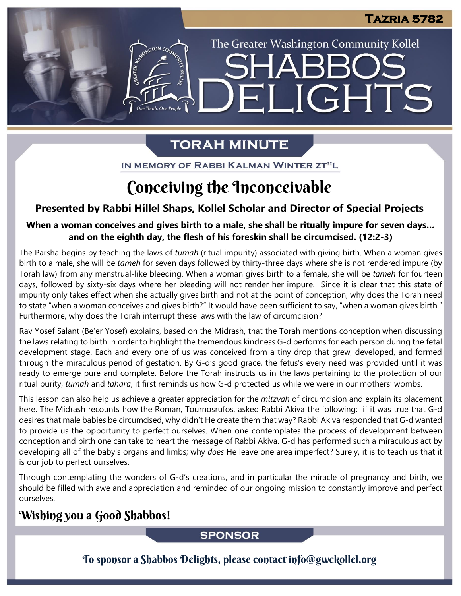The Greater Washington Community Kollel

LIGHTS

# **TORAH MINUTE**

EI

ASSEMBATON CO

IN MEMORY OF RABBI KALMAN WINTER ZT"L

# Conceiving the Inconceivable

# **Presented by Rabbi Hillel Shaps, Kollel Scholar and Director of Special Projects**

# When a woman conceives and gives birth to a male, she shall be ritually impure for seven days... **and on the eighth day, the flesh of his foreskin shall be circumcised. (12:2-3)**

The Parsha begins by teaching the laws of *tumah* (ritual impurity) associated with giving birth. When a woman gives birth to a male, she will be *tameh* for seven days followed by thirty-three days where she is not rendered impure (by Torah law) from any menstrual-like bleeding. When a woman gives birth to a female, she will be *tameh* for fourteen days, followed by sixty-six days where her bleeding will not render her impure. Since it is clear that this state of impurity only takes effect when she actually gives birth and not at the point of conception, why does the Torah need to state "when a woman conceives and gives birth?" It would have been sufficient to say, "when a woman gives birth." Furthermore, why does the Torah interrupt these laws with the law of circumcision?

Rav Yosef Salant (Be'er Yosef) explains, based on the Midrash, that the Torah mentions conception when discussing the laws relating to birth in order to highlight the tremendous kindness G-d performs for each person during the fetal development stage. Each and every one of us was conceived from a tiny drop that grew, developed, and formed through the miraculous period of gestation. By G-d's good grace, the fetus's every need was provided until it was ready to emerge pure and complete. Before the Torah instructs us in the laws pertaining to the protection of our ritual purity, *tumah* and *tahara*, it first reminds us how G-d protected us while we were in our mothers' wombs.

This lesson can also help us achieve a greater appreciation for the *mitzvah* of circumcision and explain its placement here. The Midrash recounts how the Roman, Tournosrufos, asked Rabbi Akiva the following: if it was true that G-d desires that male babies be circumcised, why didn't He create them that way? Rabbi Akiva responded that G-d wanted to provide us the opportunity to perfect ourselves. When one contemplates the process of development between conception and birth one can take to heart the message of Rabbi Akiva. G-d has performed such a miraculous act by developing all of the baby's organs and limbs; why *does* He leave one area imperfect? Surely, it is to teach us that it is our job to perfect ourselves.

Through contemplating the wonders of G-d's creations, and in particular the miracle of pregnancy and birth, we should be filled with awe and appreciation and reminded of our ongoing mission to constantly improve and perfect ourselves.

# Wishing you a Good Shabbos!

## **SPONSOR**

To sponsor a Shabbos Delights, please contact info@gwckollel.org